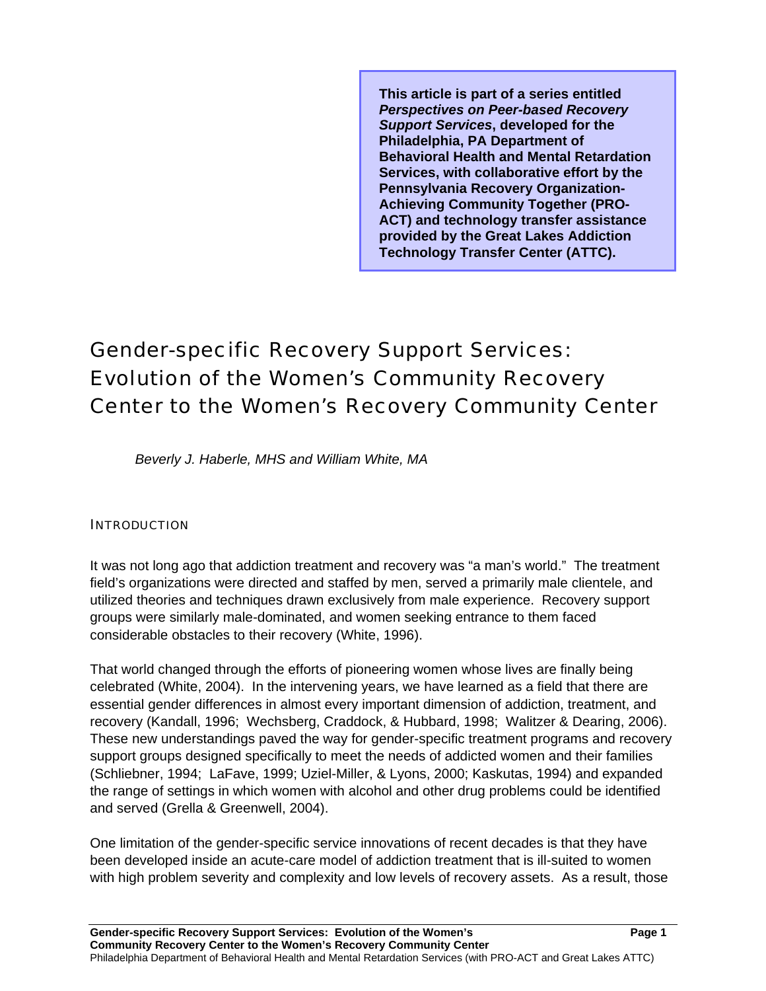**This article is part of a series entitled**  *Perspectives on Peer-based Recovery Support Services***, developed for the Philadelphia, PA Department of Behavioral Health and Mental Retardation Services, with collaborative effort by the Pennsylvania Recovery Organization-Achieving Community Together (PRO-ACT) and technology transfer assistance provided by the Great Lakes Addiction Technology Transfer Center (ATTC).** 

# Gender-specific Recovery Support Services: Evolution of the Women's Community Recovery Center to the Women's Recovery Community Center

*Beverly J. Haberle, MHS and William White, MA* 

#### **INTRODUCTION**

It was not long ago that addiction treatment and recovery was "a man's world." The treatment field's organizations were directed and staffed by men, served a primarily male clientele, and utilized theories and techniques drawn exclusively from male experience. Recovery support groups were similarly male-dominated, and women seeking entrance to them faced considerable obstacles to their recovery (White, 1996).

That world changed through the efforts of pioneering women whose lives are finally being celebrated (White, 2004). In the intervening years, we have learned as a field that there are essential gender differences in almost every important dimension of addiction, treatment, and recovery (Kandall, 1996; Wechsberg, Craddock, & Hubbard, 1998; Walitzer & Dearing, 2006). These new understandings paved the way for gender-specific treatment programs and recovery support groups designed specifically to meet the needs of addicted women and their families (Schliebner, 1994; LaFave, 1999; Uziel-Miller, & Lyons, 2000; Kaskutas, 1994) and expanded the range of settings in which women with alcohol and other drug problems could be identified and served (Grella & Greenwell, 2004).

One limitation of the gender-specific service innovations of recent decades is that they have been developed inside an acute-care model of addiction treatment that is ill-suited to women with high problem severity and complexity and low levels of recovery assets. As a result, those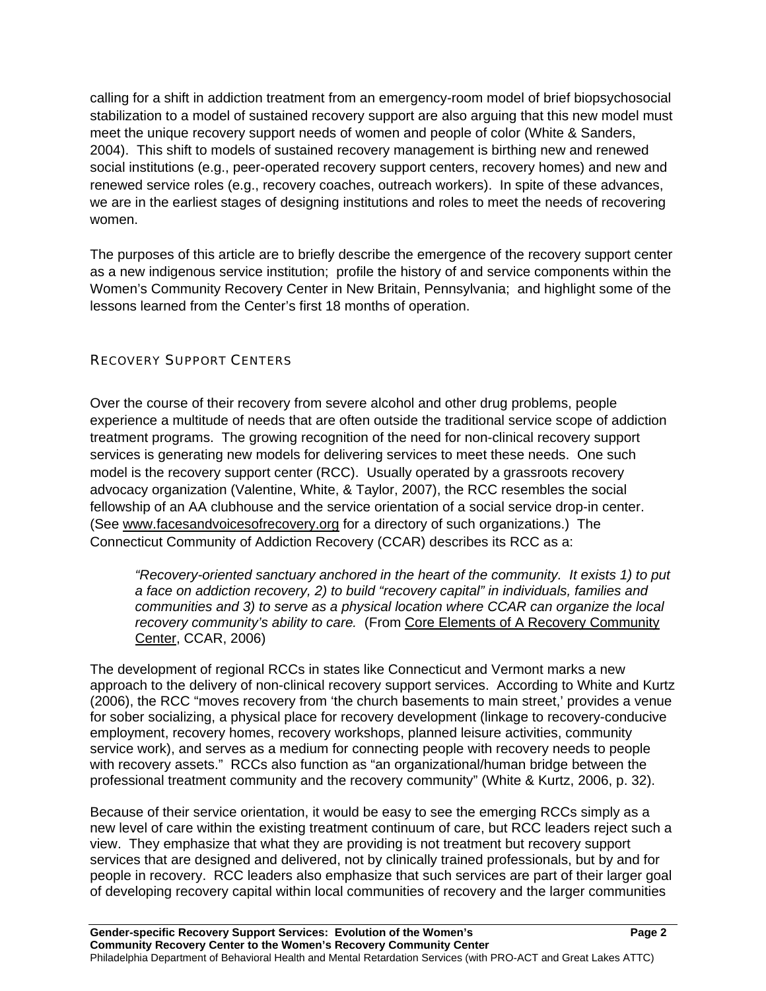calling for a shift in addiction treatment from an emergency-room model of brief biopsychosocial stabilization to a model of sustained recovery support are also arguing that this new model must meet the unique recovery support needs of women and people of color (White & Sanders, 2004). This shift to models of sustained recovery management is birthing new and renewed social institutions (e.g., peer-operated recovery support centers, recovery homes) and new and renewed service roles (e.g., recovery coaches, outreach workers). In spite of these advances, we are in the earliest stages of designing institutions and roles to meet the needs of recovering women.

The purposes of this article are to briefly describe the emergence of the recovery support center as a new indigenous service institution; profile the history of and service components within the Women's Community Recovery Center in New Britain, Pennsylvania; and highlight some of the lessons learned from the Center's first 18 months of operation.

## RECOVERY SUPPORT CENTERS

Over the course of their recovery from severe alcohol and other drug problems, people experience a multitude of needs that are often outside the traditional service scope of addiction treatment programs. The growing recognition of the need for non-clinical recovery support services is generating new models for delivering services to meet these needs. One such model is the recovery support center (RCC). Usually operated by a grassroots recovery advocacy organization (Valentine, White, & Taylor, 2007), the RCC resembles the social fellowship of an AA clubhouse and the service orientation of a social service drop-in center. (See www.facesandvoicesofrecovery.org for a directory of such organizations.) The Connecticut Community of Addiction Recovery (CCAR) describes its RCC as a:

*"Recovery-oriented sanctuary anchored in the heart of the community. It exists 1) to put a face on addiction recovery, 2) to build "recovery capital" in individuals, families and communities and 3) to serve as a physical location where CCAR can organize the local recovery community's ability to care.* (From Core Elements of A Recovery Community Center, CCAR, 2006)

The development of regional RCCs in states like Connecticut and Vermont marks a new approach to the delivery of non-clinical recovery support services. According to White and Kurtz (2006), the RCC "moves recovery from 'the church basements to main street,' provides a venue for sober socializing, a physical place for recovery development (linkage to recovery-conducive employment, recovery homes, recovery workshops, planned leisure activities, community service work), and serves as a medium for connecting people with recovery needs to people with recovery assets." RCCs also function as "an organizational/human bridge between the professional treatment community and the recovery community" (White & Kurtz, 2006, p. 32).

Because of their service orientation, it would be easy to see the emerging RCCs simply as a new level of care within the existing treatment continuum of care, but RCC leaders reject such a view. They emphasize that what they are providing is not treatment but recovery support services that are designed and delivered, not by clinically trained professionals, but by and for people in recovery. RCC leaders also emphasize that such services are part of their larger goal of developing recovery capital within local communities of recovery and the larger communities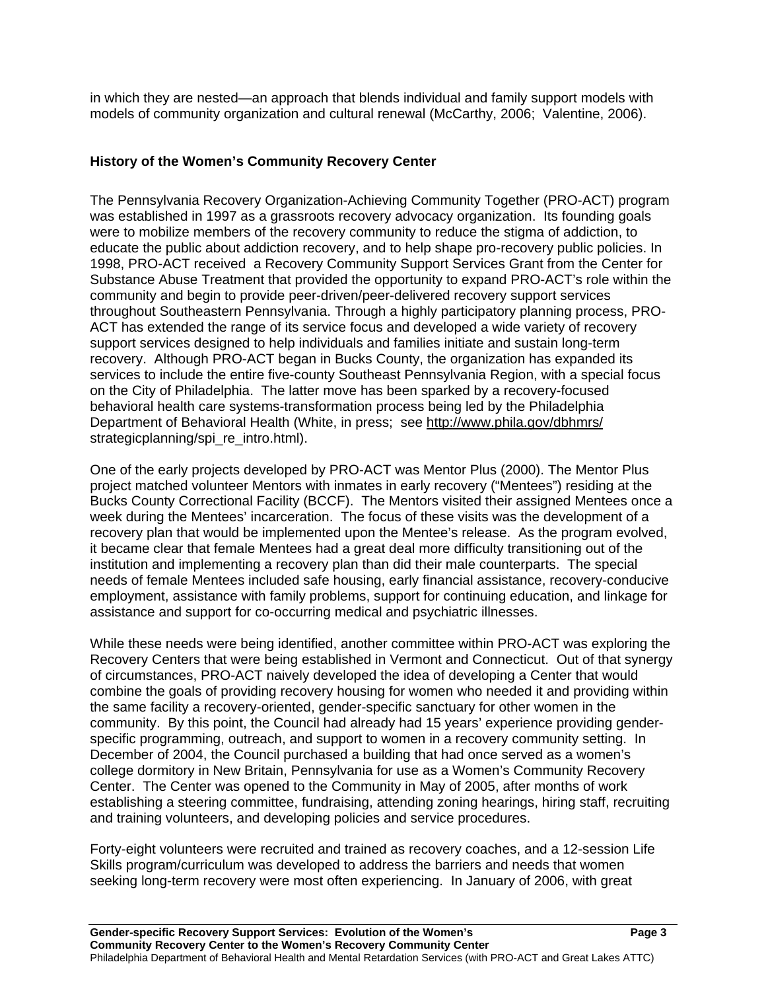in which they are nested—an approach that blends individual and family support models with models of community organization and cultural renewal (McCarthy, 2006; Valentine, 2006).

#### **History of the Women's Community Recovery Center**

The Pennsylvania Recovery Organization-Achieving Community Together (PRO-ACT) program was established in 1997 as a grassroots recovery advocacy organization. Its founding goals were to mobilize members of the recovery community to reduce the stigma of addiction, to educate the public about addiction recovery, and to help shape pro-recovery public policies. In 1998, PRO-ACT received a Recovery Community Support Services Grant from the Center for Substance Abuse Treatment that provided the opportunity to expand PRO-ACT's role within the community and begin to provide peer-driven/peer-delivered recovery support services throughout Southeastern Pennsylvania. Through a highly participatory planning process, PRO-ACT has extended the range of its service focus and developed a wide variety of recovery support services designed to help individuals and families initiate and sustain long-term recovery. Although PRO-ACT began in Bucks County, the organization has expanded its services to include the entire five-county Southeast Pennsylvania Region, with a special focus on the City of Philadelphia. The latter move has been sparked by a recovery-focused behavioral health care systems-transformation process being led by the Philadelphia Department of Behavioral Health (White, in press; see http://www.phila.gov/dbhmrs/ strategicplanning/spi\_re\_intro.html).

One of the early projects developed by PRO-ACT was Mentor Plus (2000). The Mentor Plus project matched volunteer Mentors with inmates in early recovery ("Mentees") residing at the Bucks County Correctional Facility (BCCF). The Mentors visited their assigned Mentees once a week during the Mentees' incarceration. The focus of these visits was the development of a recovery plan that would be implemented upon the Mentee's release. As the program evolved, it became clear that female Mentees had a great deal more difficulty transitioning out of the institution and implementing a recovery plan than did their male counterparts. The special needs of female Mentees included safe housing, early financial assistance, recovery-conducive employment, assistance with family problems, support for continuing education, and linkage for assistance and support for co-occurring medical and psychiatric illnesses.

While these needs were being identified, another committee within PRO-ACT was exploring the Recovery Centers that were being established in Vermont and Connecticut. Out of that synergy of circumstances, PRO-ACT naively developed the idea of developing a Center that would combine the goals of providing recovery housing for women who needed it and providing within the same facility a recovery-oriented, gender-specific sanctuary for other women in the community. By this point, the Council had already had 15 years' experience providing genderspecific programming, outreach, and support to women in a recovery community setting.In December of 2004, the Council purchased a building that had once served as a women's college dormitory in New Britain, Pennsylvania for use as a Women's Community Recovery Center. The Center was opened to the Community in May of 2005, after months of work establishing a steering committee, fundraising, attending zoning hearings, hiring staff, recruiting and training volunteers, and developing policies and service procedures.

Forty-eight volunteers were recruited and trained as recovery coaches, and a 12-session Life Skills program/curriculum was developed to address the barriers and needs that women seeking long-term recovery were most often experiencing. In January of 2006, with great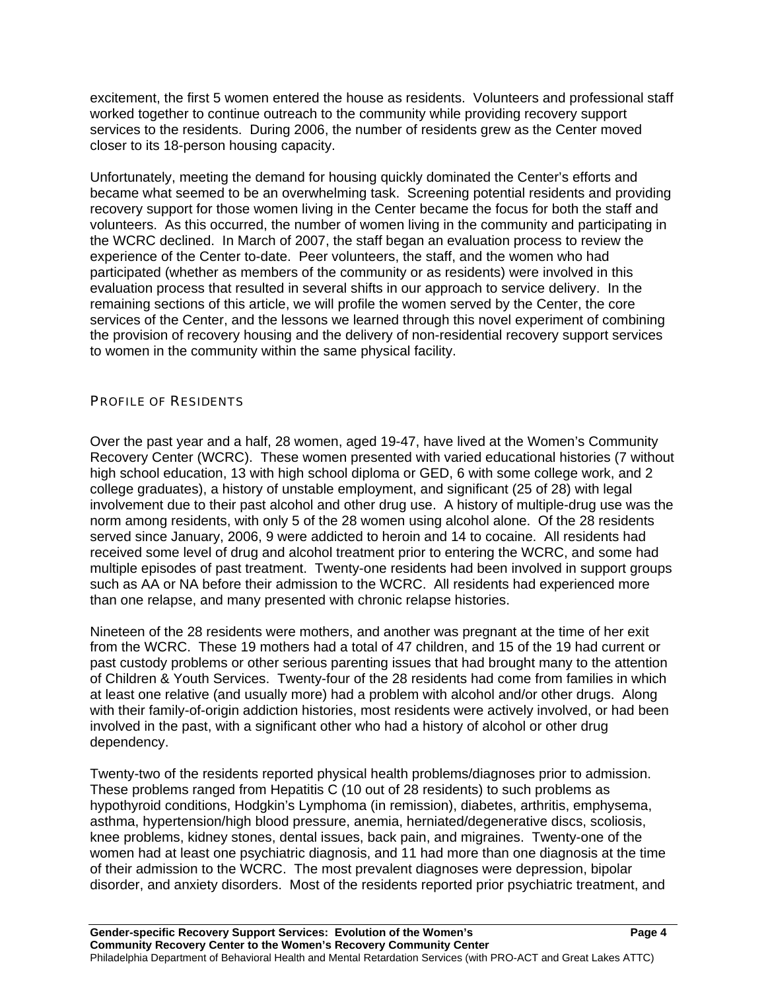excitement, the first 5 women entered the house as residents. Volunteers and professional staff worked together to continue outreach to the community while providing recovery support services to the residents. During 2006, the number of residents grew as the Center moved closer to its 18-person housing capacity.

Unfortunately, meeting the demand for housing quickly dominated the Center's efforts and became what seemed to be an overwhelming task. Screening potential residents and providing recovery support for those women living in the Center became the focus for both the staff and volunteers. As this occurred, the number of women living in the community and participating in the WCRC declined. In March of 2007, the staff began an evaluation process to review the experience of the Center to-date. Peer volunteers, the staff, and the women who had participated (whether as members of the community or as residents) were involved in this evaluation process that resulted in several shifts in our approach to service delivery. In the remaining sections of this article, we will profile the women served by the Center, the core services of the Center, and the lessons we learned through this novel experiment of combining the provision of recovery housing and the delivery of non-residential recovery support services to women in the community within the same physical facility.

#### PROFILE OF RESIDENTS

Over the past year and a half, 28 women, aged 19-47, have lived at the Women's Community Recovery Center (WCRC). These women presented with varied educational histories (7 without high school education, 13 with high school diploma or GED, 6 with some college work, and 2 college graduates), a history of unstable employment, and significant (25 of 28) with legal involvement due to their past alcohol and other drug use. A history of multiple-drug use was the norm among residents, with only 5 of the 28 women using alcohol alone. Of the 28 residents served since January, 2006, 9 were addicted to heroin and 14 to cocaine. All residents had received some level of drug and alcohol treatment prior to entering the WCRC, and some had multiple episodes of past treatment. Twenty-one residents had been involved in support groups such as AA or NA before their admission to the WCRC. All residents had experienced more than one relapse, and many presented with chronic relapse histories.

Nineteen of the 28 residents were mothers, and another was pregnant at the time of her exit from the WCRC. These 19 mothers had a total of 47 children, and 15 of the 19 had current or past custody problems or other serious parenting issues that had brought many to the attention of Children & Youth Services. Twenty-four of the 28 residents had come from families in which at least one relative (and usually more) had a problem with alcohol and/or other drugs. Along with their family-of-origin addiction histories, most residents were actively involved, or had been involved in the past, with a significant other who had a history of alcohol or other drug dependency.

Twenty-two of the residents reported physical health problems/diagnoses prior to admission. These problems ranged from Hepatitis C (10 out of 28 residents) to such problems as hypothyroid conditions, Hodgkin's Lymphoma (in remission), diabetes, arthritis, emphysema, asthma, hypertension/high blood pressure, anemia, herniated/degenerative discs, scoliosis, knee problems, kidney stones, dental issues, back pain, and migraines. Twenty-one of the women had at least one psychiatric diagnosis, and 11 had more than one diagnosis at the time of their admission to the WCRC. The most prevalent diagnoses were depression, bipolar disorder, and anxiety disorders. Most of the residents reported prior psychiatric treatment, and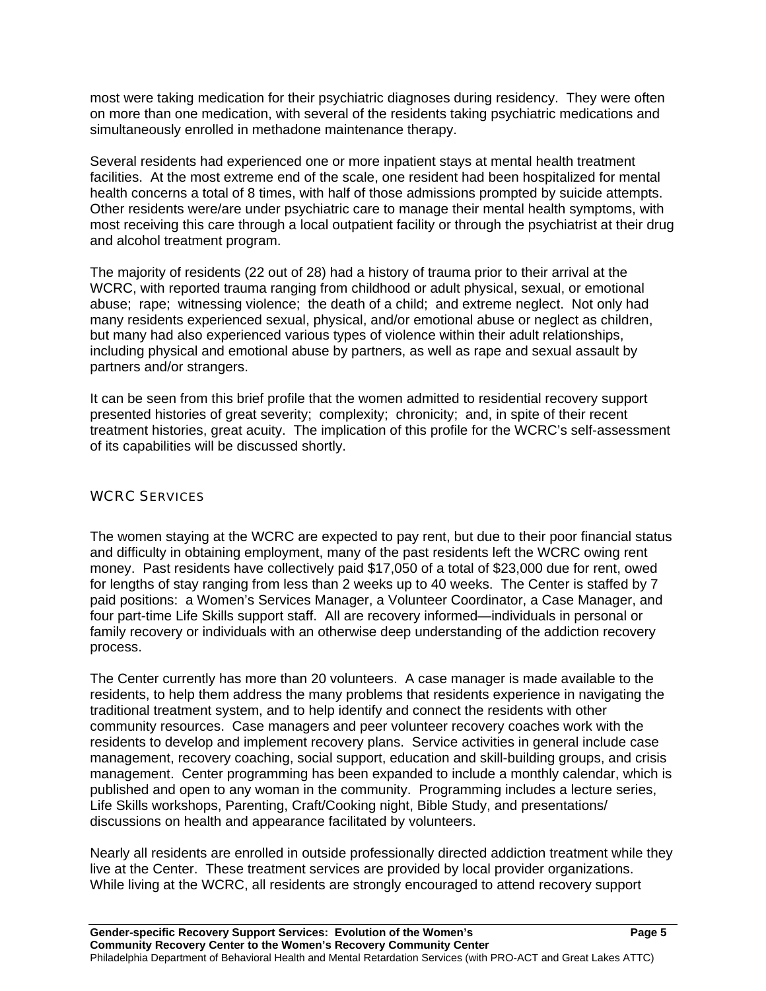most were taking medication for their psychiatric diagnoses during residency. They were often on more than one medication, with several of the residents taking psychiatric medications and simultaneously enrolled in methadone maintenance therapy.

Several residents had experienced one or more inpatient stays at mental health treatment facilities. At the most extreme end of the scale, one resident had been hospitalized for mental health concerns a total of 8 times, with half of those admissions prompted by suicide attempts. Other residents were/are under psychiatric care to manage their mental health symptoms, with most receiving this care through a local outpatient facility or through the psychiatrist at their drug and alcohol treatment program.

The majority of residents (22 out of 28) had a history of trauma prior to their arrival at the WCRC, with reported trauma ranging from childhood or adult physical, sexual, or emotional abuse; rape; witnessing violence; the death of a child; and extreme neglect. Not only had many residents experienced sexual, physical, and/or emotional abuse or neglect as children, but many had also experienced various types of violence within their adult relationships, including physical and emotional abuse by partners, as well as rape and sexual assault by partners and/or strangers.

It can be seen from this brief profile that the women admitted to residential recovery support presented histories of great severity; complexity; chronicity; and, in spite of their recent treatment histories, great acuity. The implication of this profile for the WCRC's self-assessment of its capabilities will be discussed shortly.

#### WCRC SERVICES

The women staying at the WCRC are expected to pay rent, but due to their poor financial status and difficulty in obtaining employment, many of the past residents left the WCRC owing rent money. Past residents have collectively paid \$17,050 of a total of \$23,000 due for rent, owed for lengths of stay ranging from less than 2 weeks up to 40 weeks. The Center is staffed by 7 paid positions: a Women's Services Manager, a Volunteer Coordinator, a Case Manager, and four part-time Life Skills support staff. All are recovery informed—individuals in personal or family recovery or individuals with an otherwise deep understanding of the addiction recovery process.

The Center currently has more than 20 volunteers. A case manager is made available to the residents, to help them address the many problems that residents experience in navigating the traditional treatment system, and to help identify and connect the residents with other community resources. Case managers and peer volunteer recovery coaches work with the residents to develop and implement recovery plans. Service activities in general include case management, recovery coaching, social support, education and skill-building groups, and crisis management. Center programming has been expanded to include a monthly calendar, which is published and open to any woman in the community. Programming includes a lecture series, Life Skills workshops, Parenting, Craft/Cooking night, Bible Study, and presentations/ discussions on health and appearance facilitated by volunteers.

Nearly all residents are enrolled in outside professionally directed addiction treatment while they live at the Center. These treatment services are provided by local provider organizations. While living at the WCRC, all residents are strongly encouraged to attend recovery support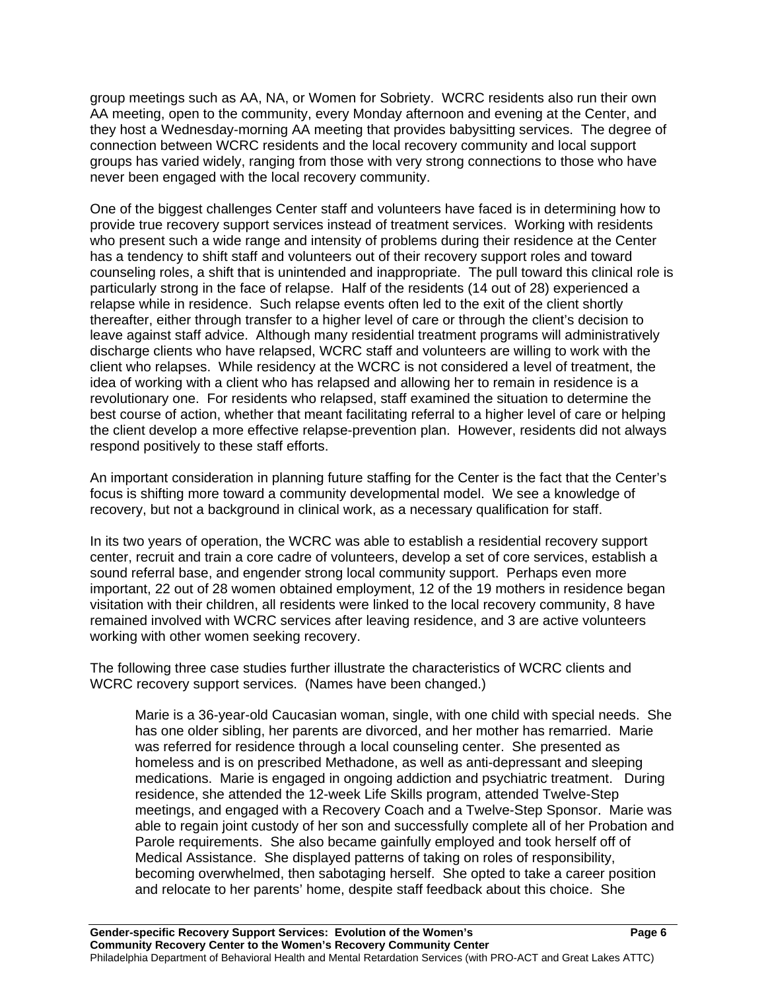group meetings such as AA, NA, or Women for Sobriety. WCRC residents also run their own AA meeting, open to the community, every Monday afternoon and evening at the Center, and they host a Wednesday-morning AA meeting that provides babysitting services. The degree of connection between WCRC residents and the local recovery community and local support groups has varied widely, ranging from those with very strong connections to those who have never been engaged with the local recovery community.

One of the biggest challenges Center staff and volunteers have faced is in determining how to provide true recovery support services instead of treatment services. Working with residents who present such a wide range and intensity of problems during their residence at the Center has a tendency to shift staff and volunteers out of their recovery support roles and toward counseling roles, a shift that is unintended and inappropriate. The pull toward this clinical role is particularly strong in the face of relapse. Half of the residents (14 out of 28) experienced a relapse while in residence. Such relapse events often led to the exit of the client shortly thereafter, either through transfer to a higher level of care or through the client's decision to leave against staff advice. Although many residential treatment programs will administratively discharge clients who have relapsed, WCRC staff and volunteers are willing to work with the client who relapses. While residency at the WCRC is not considered a level of treatment, the idea of working with a client who has relapsed and allowing her to remain in residence is a revolutionary one. For residents who relapsed, staff examined the situation to determine the best course of action, whether that meant facilitating referral to a higher level of care or helping the client develop a more effective relapse-prevention plan. However, residents did not always respond positively to these staff efforts.

An important consideration in planning future staffing for the Center is the fact that the Center's focus is shifting more toward a community developmental model. We see a knowledge of recovery, but not a background in clinical work, as a necessary qualification for staff.

In its two years of operation, the WCRC was able to establish a residential recovery support center, recruit and train a core cadre of volunteers, develop a set of core services, establish a sound referral base, and engender strong local community support. Perhaps even more important, 22 out of 28 women obtained employment, 12 of the 19 mothers in residence began visitation with their children, all residents were linked to the local recovery community, 8 have remained involved with WCRC services after leaving residence, and 3 are active volunteers working with other women seeking recovery.

The following three case studies further illustrate the characteristics of WCRC clients and WCRC recovery support services. (Names have been changed.)

 Marie is a 36-year-old Caucasian woman, single, with one child with special needs. She has one older sibling, her parents are divorced, and her mother has remarried. Marie was referred for residence through a local counseling center. She presented as homeless and is on prescribed Methadone, as well as anti-depressant and sleeping medications. Marie is engaged in ongoing addiction and psychiatric treatment. During residence, she attended the 12-week Life Skills program, attended Twelve-Step meetings, and engaged with a Recovery Coach and a Twelve-Step Sponsor. Marie was able to regain joint custody of her son and successfully complete all of her Probation and Parole requirements. She also became gainfully employed and took herself off of Medical Assistance. She displayed patterns of taking on roles of responsibility, becoming overwhelmed, then sabotaging herself. She opted to take a career position and relocate to her parents' home, despite staff feedback about this choice. She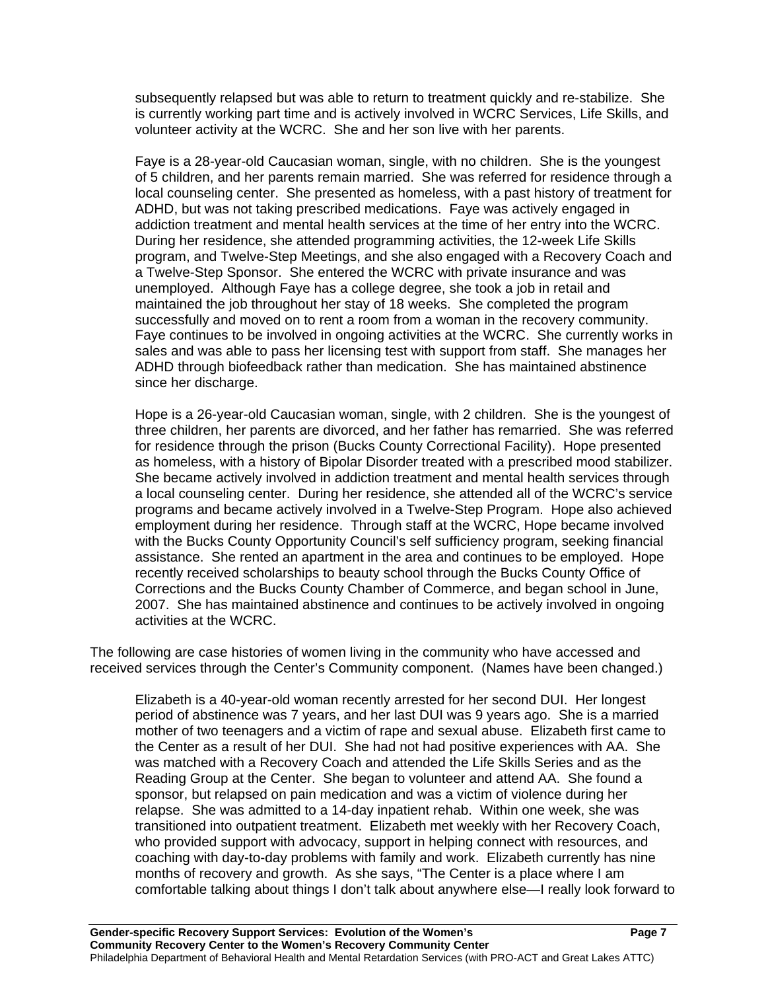subsequently relapsed but was able to return to treatment quickly and re-stabilize. She is currently working part time and is actively involved in WCRC Services, Life Skills, and volunteer activity at the WCRC. She and her son live with her parents.

 Faye is a 28-year-old Caucasian woman, single, with no children. She is the youngest of 5 children, and her parents remain married. She was referred for residence through a local counseling center. She presented as homeless, with a past history of treatment for ADHD, but was not taking prescribed medications. Faye was actively engaged in addiction treatment and mental health services at the time of her entry into the WCRC. During her residence, she attended programming activities, the 12-week Life Skills program, and Twelve-Step Meetings, and she also engaged with a Recovery Coach and a Twelve-Step Sponsor. She entered the WCRC with private insurance and was unemployed. Although Faye has a college degree, she took a job in retail and maintained the job throughout her stay of 18 weeks. She completed the program successfully and moved on to rent a room from a woman in the recovery community. Faye continues to be involved in ongoing activities at the WCRC. She currently works in sales and was able to pass her licensing test with support from staff. She manages her ADHD through biofeedback rather than medication. She has maintained abstinence since her discharge.

Hope is a 26-year-old Caucasian woman, single, with 2 children. She is the youngest of three children, her parents are divorced, and her father has remarried. She was referred for residence through the prison (Bucks County Correctional Facility). Hope presented as homeless, with a history of Bipolar Disorder treated with a prescribed mood stabilizer. She became actively involved in addiction treatment and mental health services through a local counseling center. During her residence, she attended all of the WCRC's service programs and became actively involved in a Twelve-Step Program. Hope also achieved employment during her residence. Through staff at the WCRC, Hope became involved with the Bucks County Opportunity Council's self sufficiency program, seeking financial assistance. She rented an apartment in the area and continues to be employed. Hope recently received scholarships to beauty school through the Bucks County Office of Corrections and the Bucks County Chamber of Commerce, and began school in June, 2007. She has maintained abstinence and continues to be actively involved in ongoing activities at the WCRC.

The following are case histories of women living in the community who have accessed and received services through the Center's Community component. (Names have been changed.)

Elizabeth is a 40-year-old woman recently arrested for her second DUI. Her longest period of abstinence was 7 years, and her last DUI was 9 years ago. She is a married mother of two teenagers and a victim of rape and sexual abuse. Elizabeth first came to the Center as a result of her DUI. She had not had positive experiences with AA. She was matched with a Recovery Coach and attended the Life Skills Series and as the Reading Group at the Center. She began to volunteer and attend AA. She found a sponsor, but relapsed on pain medication and was a victim of violence during her relapse. She was admitted to a 14-day inpatient rehab. Within one week, she was transitioned into outpatient treatment. Elizabeth met weekly with her Recovery Coach, who provided support with advocacy, support in helping connect with resources, and coaching with day-to-day problems with family and work. Elizabeth currently has nine months of recovery and growth. As she says, "The Center is a place where I am comfortable talking about things I don't talk about anywhere else—I really look forward to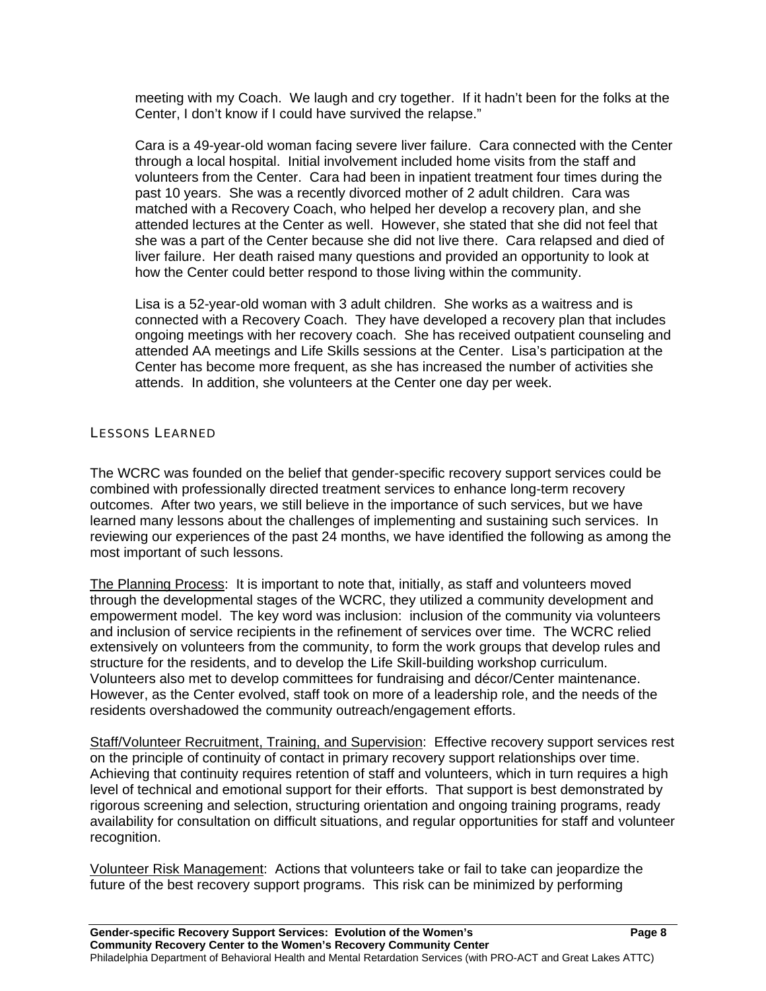meeting with my Coach. We laugh and cry together. If it hadn't been for the folks at the Center, I don't know if I could have survived the relapse."

Cara is a 49-year-old woman facing severe liver failure. Cara connected with the Center through a local hospital. Initial involvement included home visits from the staff and volunteers from the Center. Cara had been in inpatient treatment four times during the past 10 years. She was a recently divorced mother of 2 adult children. Cara was matched with a Recovery Coach, who helped her develop a recovery plan, and she attended lectures at the Center as well. However, she stated that she did not feel that she was a part of the Center because she did not live there. Cara relapsed and died of liver failure. Her death raised many questions and provided an opportunity to look at how the Center could better respond to those living within the community.

Lisa is a 52-year-old woman with 3 adult children. She works as a waitress and is connected with a Recovery Coach. They have developed a recovery plan that includes ongoing meetings with her recovery coach. She has received outpatient counseling and attended AA meetings and Life Skills sessions at the Center. Lisa's participation at the Center has become more frequent, as she has increased the number of activities she attends. In addition, she volunteers at the Center one day per week.

#### LESSONS LEARNED

The WCRC was founded on the belief that gender-specific recovery support services could be combined with professionally directed treatment services to enhance long-term recovery outcomes. After two years, we still believe in the importance of such services, but we have learned many lessons about the challenges of implementing and sustaining such services. In reviewing our experiences of the past 24 months, we have identified the following as among the most important of such lessons.

The Planning Process: It is important to note that, initially, as staff and volunteers moved through the developmental stages of the WCRC, they utilized a community development and empowerment model. The key word was inclusion: inclusion of the community via volunteers and inclusion of service recipients in the refinement of services over time. The WCRC relied extensively on volunteers from the community, to form the work groups that develop rules and structure for the residents, and to develop the Life Skill-building workshop curriculum. Volunteers also met to develop committees for fundraising and décor/Center maintenance. However, as the Center evolved, staff took on more of a leadership role, and the needs of the residents overshadowed the community outreach/engagement efforts.

Staff/Volunteer Recruitment, Training, and Supervision: Effective recovery support services rest on the principle of continuity of contact in primary recovery support relationships over time. Achieving that continuity requires retention of staff and volunteers, which in turn requires a high level of technical and emotional support for their efforts. That support is best demonstrated by rigorous screening and selection, structuring orientation and ongoing training programs, ready availability for consultation on difficult situations, and regular opportunities for staff and volunteer recognition.

Volunteer Risk Management: Actions that volunteers take or fail to take can jeopardize the future of the best recovery support programs. This risk can be minimized by performing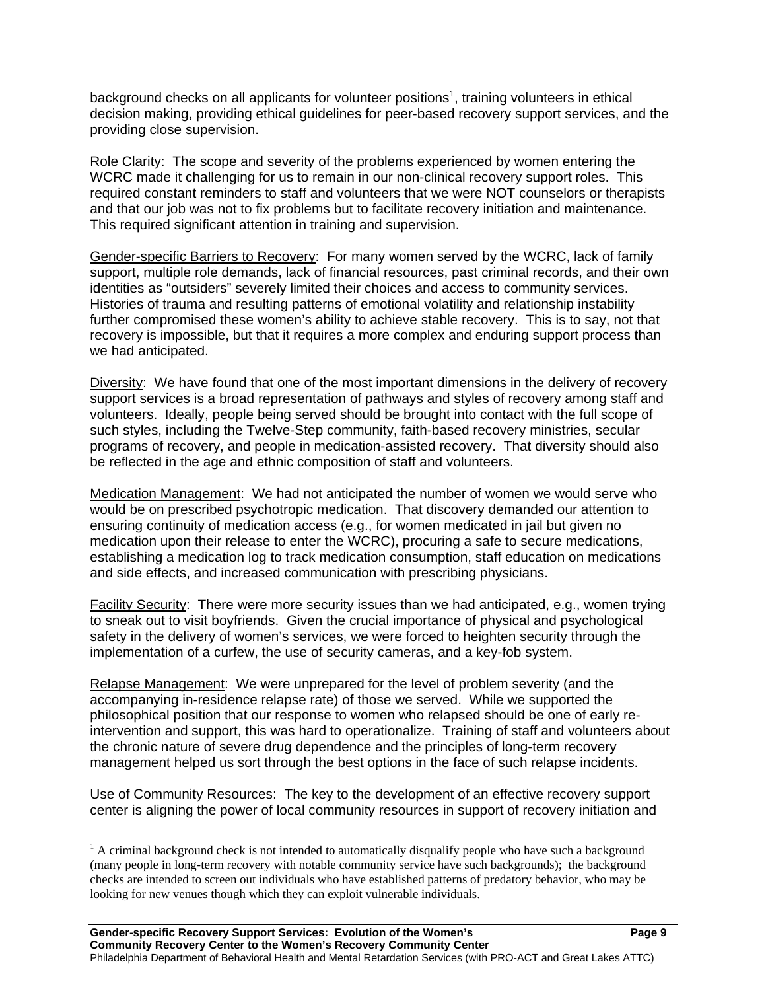background checks on all applicants for volunteer positions<sup>1</sup>, training volunteers in ethical decision making, providing ethical guidelines for peer-based recovery support services, and the providing close supervision.

Role Clarity: The scope and severity of the problems experienced by women entering the WCRC made it challenging for us to remain in our non-clinical recovery support roles. This required constant reminders to staff and volunteers that we were NOT counselors or therapists and that our job was not to fix problems but to facilitate recovery initiation and maintenance. This required significant attention in training and supervision.

Gender-specific Barriers to Recovery: For many women served by the WCRC, lack of family support, multiple role demands, lack of financial resources, past criminal records, and their own identities as "outsiders" severely limited their choices and access to community services. Histories of trauma and resulting patterns of emotional volatility and relationship instability further compromised these women's ability to achieve stable recovery. This is to say, not that recovery is impossible, but that it requires a more complex and enduring support process than we had anticipated.

Diversity: We have found that one of the most important dimensions in the delivery of recovery support services is a broad representation of pathways and styles of recovery among staff and volunteers. Ideally, people being served should be brought into contact with the full scope of such styles, including the Twelve-Step community, faith-based recovery ministries, secular programs of recovery, and people in medication-assisted recovery. That diversity should also be reflected in the age and ethnic composition of staff and volunteers.

Medication Management: We had not anticipated the number of women we would serve who would be on prescribed psychotropic medication. That discovery demanded our attention to ensuring continuity of medication access (e.g., for women medicated in jail but given no medication upon their release to enter the WCRC), procuring a safe to secure medications, establishing a medication log to track medication consumption, staff education on medications and side effects, and increased communication with prescribing physicians.

Facility Security: There were more security issues than we had anticipated, e.g., women trying to sneak out to visit boyfriends. Given the crucial importance of physical and psychological safety in the delivery of women's services, we were forced to heighten security through the implementation of a curfew, the use of security cameras, and a key-fob system.

Relapse Management: We were unprepared for the level of problem severity (and the accompanying in-residence relapse rate) of those we served. While we supported the philosophical position that our response to women who relapsed should be one of early reintervention and support, this was hard to operationalize. Training of staff and volunteers about the chronic nature of severe drug dependence and the principles of long-term recovery management helped us sort through the best options in the face of such relapse incidents.

Use of Community Resources: The key to the development of an effective recovery support center is aligning the power of local community resources in support of recovery initiation and

 $\overline{a}$ 

 $<sup>1</sup>$  A criminal background check is not intended to automatically disqualify people who have such a background</sup> (many people in long-term recovery with notable community service have such backgrounds); the background checks are intended to screen out individuals who have established patterns of predatory behavior, who may be looking for new venues though which they can exploit vulnerable individuals.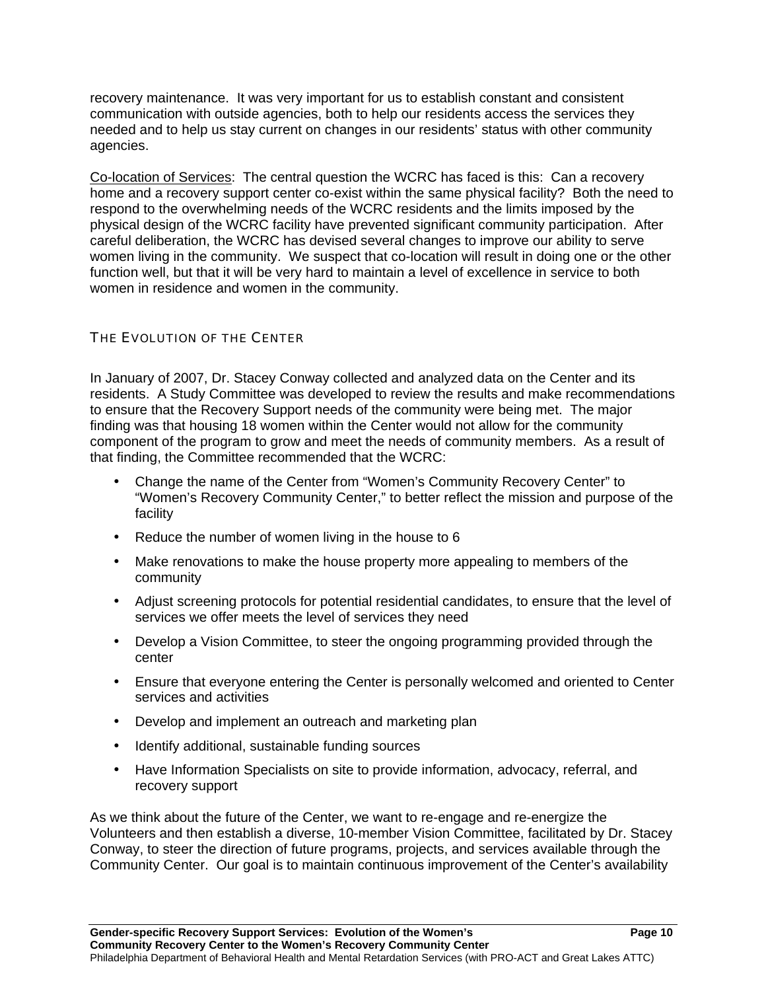recovery maintenance. It was very important for us to establish constant and consistent communication with outside agencies, both to help our residents access the services they needed and to help us stay current on changes in our residents' status with other community agencies.

Co-location of Services: The central question the WCRC has faced is this: Can a recovery home and a recovery support center co-exist within the same physical facility? Both the need to respond to the overwhelming needs of the WCRC residents and the limits imposed by the physical design of the WCRC facility have prevented significant community participation. After careful deliberation, the WCRC has devised several changes to improve our ability to serve women living in the community.We suspect that co-location will result in doing one or the other function well, but that it will be very hard to maintain a level of excellence in service to both women in residence and women in the community.

### THE EVOLUTION OF THE CENTER

In January of 2007, Dr. Stacey Conway collected and analyzed data on the Center and its residents. A Study Committee was developed to review the results and make recommendations to ensure that the Recovery Support needs of the community were being met. The major finding was that housing 18 women within the Center would not allow for the community component of the program to grow and meet the needs of community members. As a result of that finding, the Committee recommended that the WCRC:

- Change the name of the Center from "Women's Community Recovery Center" to "Women's Recovery Community Center," to better reflect the mission and purpose of the facility
- Reduce the number of women living in the house to 6
- Make renovations to make the house property more appealing to members of the community
- Adjust screening protocols for potential residential candidates, to ensure that the level of services we offer meets the level of services they need
- Develop a Vision Committee, to steer the ongoing programming provided through the center
- Ensure that everyone entering the Center is personally welcomed and oriented to Center services and activities
- Develop and implement an outreach and marketing plan
- Identify additional, sustainable funding sources
- Have Information Specialists on site to provide information, advocacy, referral, and recovery support

As we think about the future of the Center, we want to re-engage and re-energize the Volunteers and then establish a diverse, 10-member Vision Committee, facilitated by Dr. Stacey Conway, to steer the direction of future programs, projects, and services available through the Community Center. Our goal is to maintain continuous improvement of the Center's availability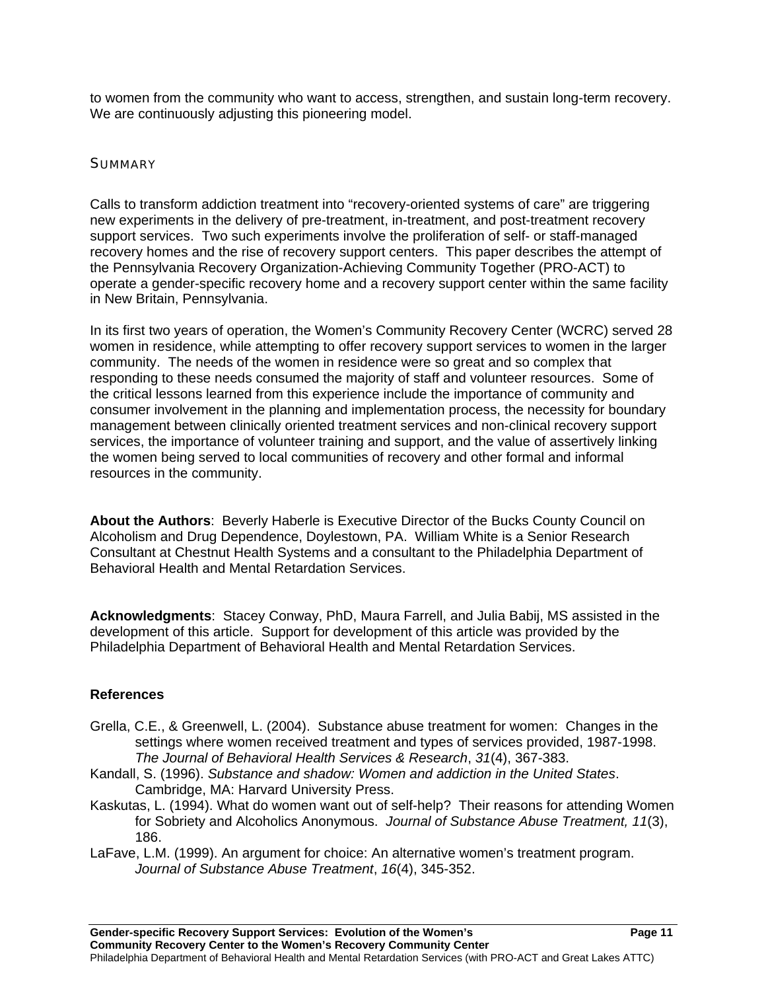to women from the community who want to access, strengthen, and sustain long-term recovery. We are continuously adjusting this pioneering model.

#### **SUMMARY**

Calls to transform addiction treatment into "recovery-oriented systems of care" are triggering new experiments in the delivery of pre-treatment, in-treatment, and post-treatment recovery support services. Two such experiments involve the proliferation of self- or staff-managed recovery homes and the rise of recovery support centers. This paper describes the attempt of the Pennsylvania Recovery Organization-Achieving Community Together (PRO-ACT) to operate a gender-specific recovery home and a recovery support center within the same facility in New Britain, Pennsylvania.

In its first two years of operation, the Women's Community Recovery Center (WCRC) served 28 women in residence, while attempting to offer recovery support services to women in the larger community. The needs of the women in residence were so great and so complex that responding to these needs consumed the majority of staff and volunteer resources. Some of the critical lessons learned from this experience include the importance of community and consumer involvement in the planning and implementation process, the necessity for boundary management between clinically oriented treatment services and non-clinical recovery support services, the importance of volunteer training and support, and the value of assertively linking the women being served to local communities of recovery and other formal and informal resources in the community.

**About the Authors**: Beverly Haberle is Executive Director of the Bucks County Council on Alcoholism and Drug Dependence, Doylestown, PA. William White is a Senior Research Consultant at Chestnut Health Systems and a consultant to the Philadelphia Department of Behavioral Health and Mental Retardation Services.

**Acknowledgments**: Stacey Conway, PhD, Maura Farrell, and Julia Babij, MS assisted in the development of this article. Support for development of this article was provided by the Philadelphia Department of Behavioral Health and Mental Retardation Services.

#### **References**

- Grella, C.E., & Greenwell, L. (2004). Substance abuse treatment for women: Changes in the settings where women received treatment and types of services provided, 1987-1998. *The Journal of Behavioral Health Services & Research*, *31*(4), 367-383.
- Kandall, S. (1996). *Substance and shadow: Women and addiction in the United States*. Cambridge, MA: Harvard University Press.
- Kaskutas, L. (1994). What do women want out of self-help? Their reasons for attending Women for Sobriety and Alcoholics Anonymous. *Journal of Substance Abuse Treatment, 11*(3), 186.
- LaFave, L.M. (1999). An argument for choice: An alternative women's treatment program. *Journal of Substance Abuse Treatment*, *16*(4), 345-352.